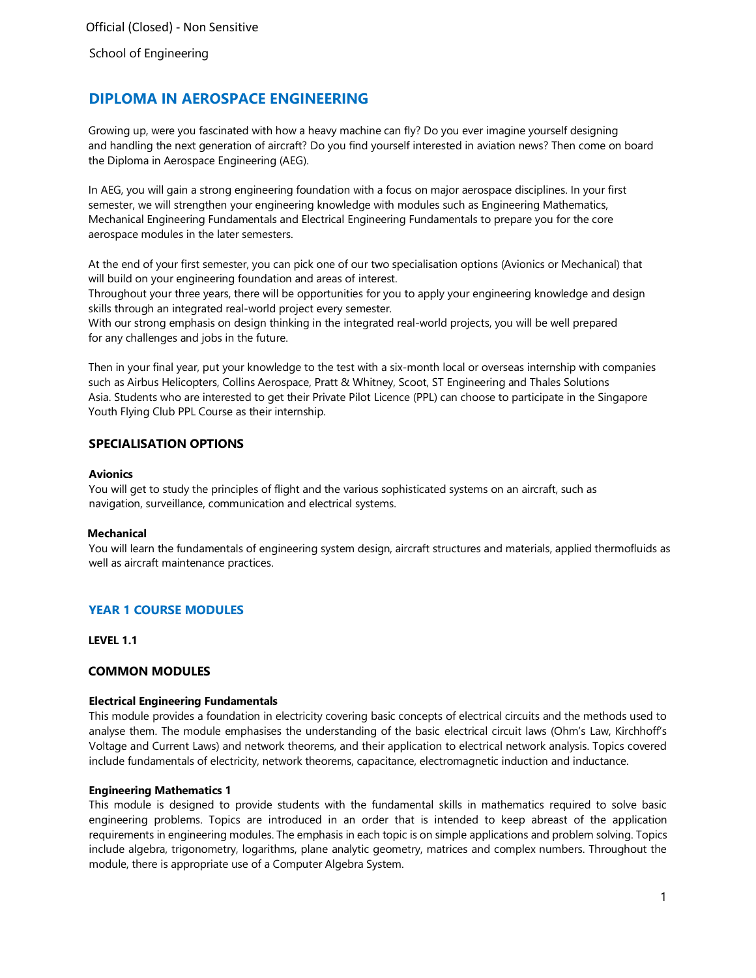# **DIPLOMA IN AEROSPACE ENGINEERING**

Growing up, were you fascinated with how a heavy machine can fly? Do you ever imagine yourself designing and handling the next generation of aircraft? Do you find yourself interested in aviation news? Then come on board the Diploma in Aerospace Engineering (AEG).

In AEG, you will gain a strong engineering foundation with a focus on major aerospace disciplines. In your first semester, we will strengthen your engineering knowledge with modules such as Engineering Mathematics, Mechanical Engineering Fundamentals and Electrical Engineering Fundamentals to prepare you for the core aerospace modules in the later semesters.

At the end of your first semester, you can pick one of our two specialisation options (Avionics or Mechanical) that will build on your engineering foundation and areas of interest.

Throughout your three years, there will be opportunities for you to apply your engineering knowledge and design skills through an integrated real-world project every semester.

With our strong emphasis on design thinking in the integrated real-world projects, you will be well prepared for any challenges and jobs in the future.

Then in your final year, put your knowledge to the test with a six-month local or overseas internship with companies such as Airbus Helicopters, Collins Aerospace, Pratt & Whitney, Scoot, ST Engineering and Thales Solutions Asia. Students who are interested to get their Private Pilot Licence (PPL) can choose to participate in the Singapore Youth Flying Club PPL Course as their internship.

# **SPECIALISATION OPTIONS**

### **Avionics**

You will get to study the principles of flight and the various sophisticated systems on an aircraft, such as navigation, surveillance, communication and electrical systems.

### **Mechanical**

You will learn the fundamentals of engineering system design, aircraft structures and materials, applied thermofluids as well as aircraft maintenance practices.

# **YEAR 1 COURSE MODULES**

**LEVEL 1.1**

# **COMMON MODULES**

### **Electrical Engineering Fundamentals**

This module provides a foundation in electricity covering basic concepts of electrical circuits and the methods used to analyse them. The module emphasises the understanding of the basic electrical circuit laws (Ohm's Law, Kirchhoff's Voltage and Current Laws) and network theorems, and their application to electrical network analysis. Topics covered include fundamentals of electricity, network theorems, capacitance, electromagnetic induction and inductance.

### **Engineering Mathematics 1**

This module is designed to provide students with the fundamental skills in mathematics required to solve basic engineering problems. Topics are introduced in an order that is intended to keep abreast of the application requirements in engineering modules. The emphasis in each topic is on simple applications and problem solving. Topics include algebra, trigonometry, logarithms, plane analytic geometry, matrices and complex numbers. Throughout the module, there is appropriate use of a Computer Algebra System.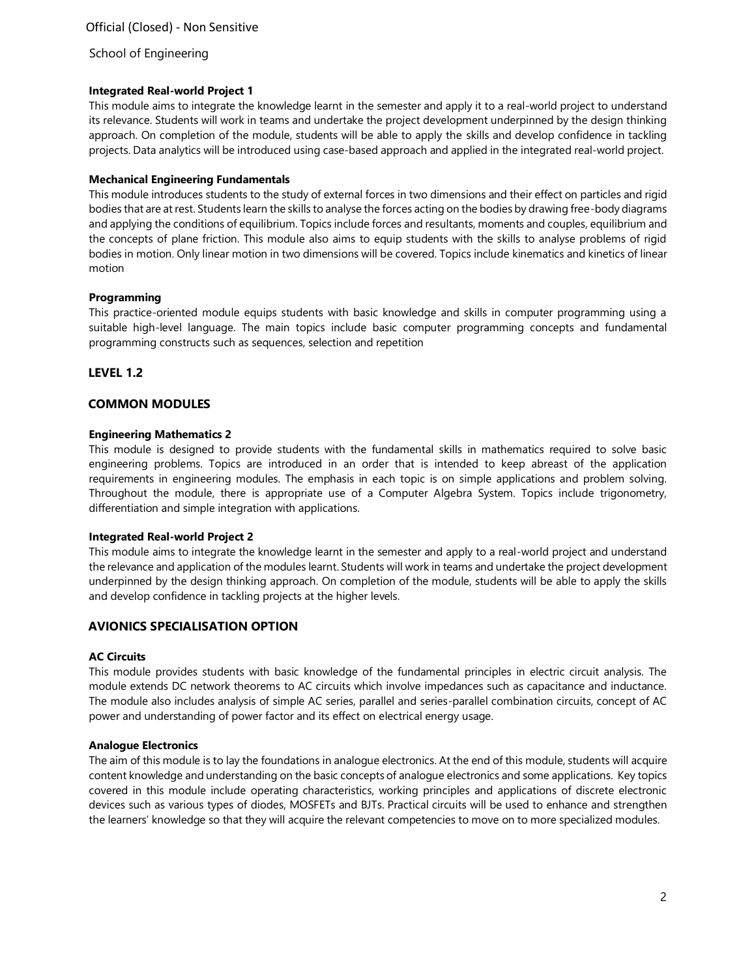### **Integrated Real-world Project 1**

This module aims to integrate the knowledge learnt in the semester and apply it to a real-world project to understand its relevance. Students will work in teams and undertake the project development underpinned by the design thinking approach. On completion of the module, students will be able to apply the skills and develop confidence in tackling projects. Data analytics will be introduced using case-based approach and applied in the integrated real-world project.

### **Mechanical Engineering Fundamentals**

This module introduces students to the study of external forces in two dimensions and their effect on particles and rigid bodies that are at rest. Students learn the skills to analyse the forces acting on the bodies by drawing free-body diagrams and applying the conditions of equilibrium. Topics include forces and resultants, moments and couples, equilibrium and the concepts of plane friction. This module also aims to equip students with the skills to analyse problems of rigid bodies in motion. Only linear motion in two dimensions will be covered. Topics include kinematics and kinetics of linear motion

### **Programming**

This practice-oriented module equips students with basic knowledge and skills in computer programming using a suitable high-level language. The main topics include basic computer programming concepts and fundamental programming constructs such as sequences, selection and repetition

# **LEVEL 1.2**

# **COMMON MODULES**

### **Engineering Mathematics 2**

This module is designed to provide students with the fundamental skills in mathematics required to solve basic engineering problems. Topics are introduced in an order that is intended to keep abreast of the application requirements in engineering modules. The emphasis in each topic is on simple applications and problem solving. Throughout the module, there is appropriate use of a Computer Algebra System. Topics include trigonometry, differentiation and simple integration with applications.

### **Integrated Real-world Project 2**

This module aims to integrate the knowledge learnt in the semester and apply to a real-world project and understand the relevance and application of the modules learnt. Students will work in teams and undertake the project development underpinned by the design thinking approach. On completion of the module, students will be able to apply the skills and develop confidence in tackling projects at the higher levels.

# **AVIONICS SPECIALISATION OPTION**

# **AC Circuits**

This module provides students with basic knowledge of the fundamental principles in electric circuit analysis. The module extends DC network theorems to AC circuits which involve impedances such as capacitance and inductance. The module also includes analysis of simple AC series, parallel and series-parallel combination circuits, concept of AC power and understanding of power factor and its effect on electrical energy usage.

### **Analogue Electronics**

The aim of this module is to lay the foundations in analogue electronics. At the end of this module, students will acquire content knowledge and understanding on the basic concepts of analogue electronics and some applications. Key topics covered in this module include operating characteristics, working principles and applications of discrete electronic devices such as various types of diodes, MOSFETs and BJTs. Practical circuits will be used to enhance and strengthen the learners' knowledge so that they will acquire the relevant competencies to move on to more specialized modules.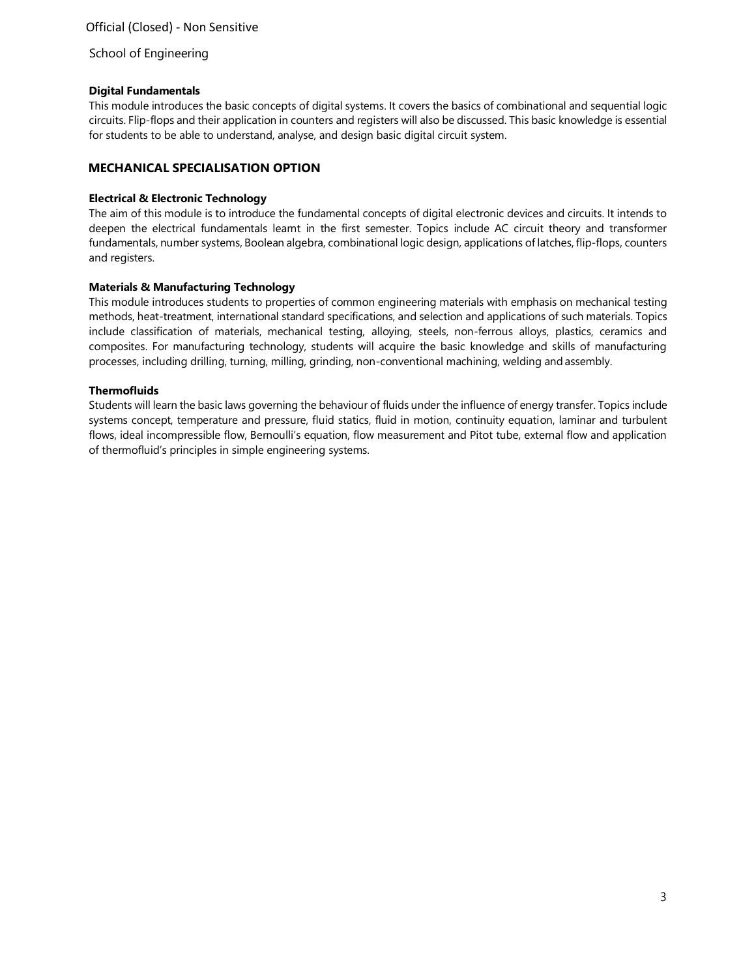# School of Engineering

### **Digital Fundamentals**

This module introduces the basic concepts of digital systems. It covers the basics of combinational and sequential logic circuits. Flip-flops and their application in counters and registers will also be discussed. This basic knowledge is essential for students to be able to understand, analyse, and design basic digital circuit system.

# **MECHANICAL SPECIALISATION OPTION**

### **Electrical & Electronic Technology**

The aim of this module is to introduce the fundamental concepts of digital electronic devices and circuits. It intends to deepen the electrical fundamentals learnt in the first semester. Topics include AC circuit theory and transformer fundamentals, number systems, Boolean algebra, combinational logic design, applications of latches, flip-flops, counters and registers.

### **Materials & Manufacturing Technology**

This module introduces students to properties of common engineering materials with emphasis on mechanical testing methods, heat-treatment, international standard specifications, and selection and applications of such materials. Topics include classification of materials, mechanical testing, alloying, steels, non-ferrous alloys, plastics, ceramics and composites. For manufacturing technology, students will acquire the basic knowledge and skills of manufacturing processes, including drilling, turning, milling, grinding, non-conventional machining, welding and assembly.

### **Thermofluids**

Students will learn the basic laws governing the behaviour of fluids under the influence of energy transfer. Topics include systems concept, temperature and pressure, fluid statics, fluid in motion, continuity equation, laminar and turbulent flows, ideal incompressible flow, Bernoulli's equation, flow measurement and Pitot tube, external flow and application of thermofluid's principles in simple engineering systems.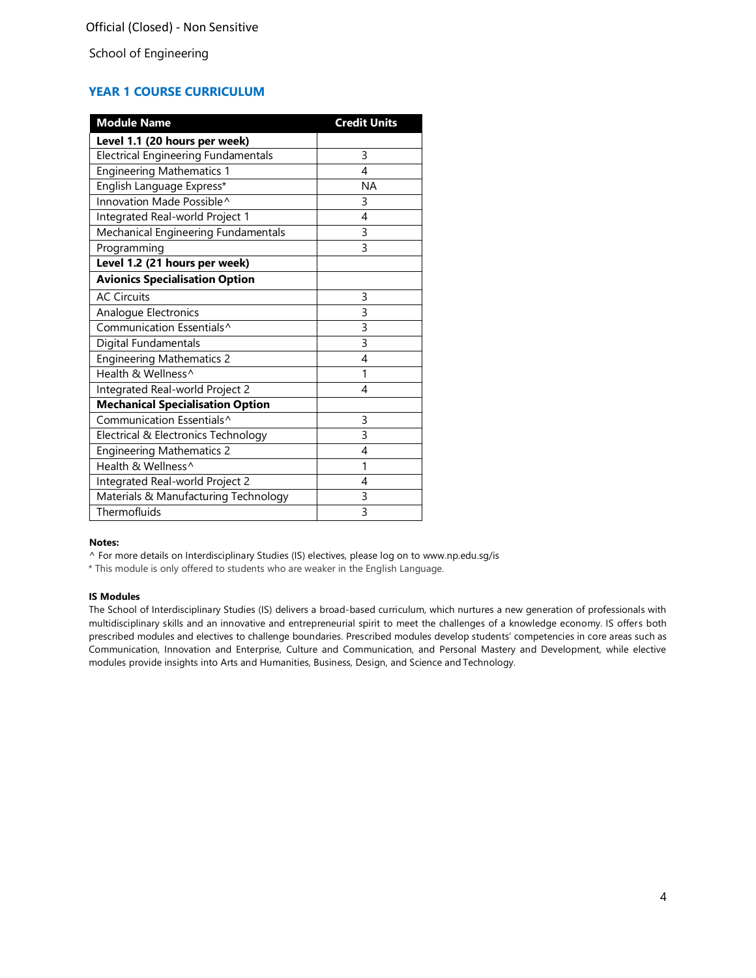# **YEAR 1 COURSE CURRICULUM**

| <b>Module Name</b>                         | <b>Credit Units</b> |
|--------------------------------------------|---------------------|
| Level 1.1 (20 hours per week)              |                     |
| <b>Electrical Engineering Fundamentals</b> | 3                   |
| <b>Engineering Mathematics 1</b>           | 4                   |
| English Language Express*                  | <b>NA</b>           |
| Innovation Made Possible^                  | 3                   |
| Integrated Real-world Project 1            | 4                   |
| Mechanical Engineering Fundamentals        | $\overline{3}$      |
| Programming                                | 3                   |
| Level 1.2 (21 hours per week)              |                     |
| <b>Avionics Specialisation Option</b>      |                     |
| <b>AC Circuits</b>                         | 3                   |
| Analogue Electronics                       | 3                   |
| Communication Essentials^                  | $\overline{3}$      |
| <b>Digital Fundamentals</b>                | 3                   |
| <b>Engineering Mathematics 2</b>           | 4                   |
| Health & Wellness^                         | 1                   |
| Integrated Real-world Project 2            | 4                   |
| <b>Mechanical Specialisation Option</b>    |                     |
| Communication Essentials^                  | 3                   |
| Electrical & Electronics Technology        | 3                   |
| <b>Engineering Mathematics 2</b>           | 4                   |
| Health & Wellness^                         | 1                   |
| Integrated Real-world Project 2            | 4                   |
| Materials & Manufacturing Technology       | 3                   |
| Thermofluids                               | $\overline{3}$      |

### **Notes:**

^ For more details on Interdisciplinary Studies (IS) electives, please log on to [www.np.edu.sg/is](http://www.np.edu.sg/is/)

\* This module is only offered to students who are weaker in the English Language.

#### **IS Modules**

The School of Interdisciplinary Studies (IS) delivers a broad-based curriculum, which nurtures a new generation of professionals with multidisciplinary skills and an innovative and entrepreneurial spirit to meet the challenges of a knowledge economy. IS offers both prescribed modules and electives to challenge boundaries. Prescribed modules develop students' competencies in core areas such as Communication, Innovation and Enterprise, Culture and Communication, and Personal Mastery and Development, while elective modules provide insights into Arts and Humanities, Business, Design, and Science and Technology.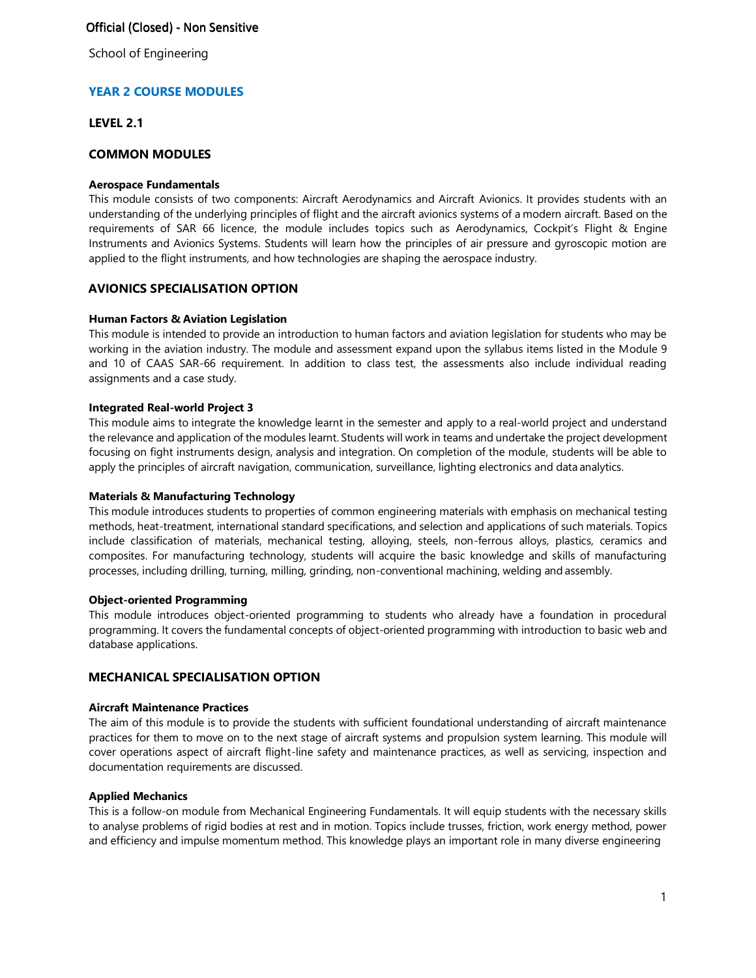School of Engineering

# **YEAR 2 COURSE MODULES**

# **LEVEL 2.1**

# **COMMON MODULES**

### **Aerospace Fundamentals**

This module consists of two components: Aircraft Aerodynamics and Aircraft Avionics. It provides students with an understanding of the underlying principles of flight and the aircraft avionics systems of a modern aircraft. Based on the requirements of SAR 66 licence, the module includes topics such as Aerodynamics, Cockpit's Flight & Engine Instruments and Avionics Systems. Students will learn how the principles of air pressure and gyroscopic motion are applied to the flight instruments, and how technologies are shaping the aerospace industry.

# **AVIONICS SPECIALISATION OPTION**

# **Human Factors & Aviation Legislation**

This module is intended to provide an introduction to human factors and aviation legislation for students who may be working in the aviation industry. The module and assessment expand upon the syllabus items listed in the Module 9 and 10 of CAAS SAR-66 requirement. In addition to class test, the assessments also include individual reading assignments and a case study.

### **Integrated Real-world Project 3**

This module aims to integrate the knowledge learnt in the semester and apply to a real-world project and understand the relevance and application of the modules learnt. Students will work in teams and undertake the project development focusing on fight instruments design, analysis and integration. On completion of the module, students will be able to apply the principles of aircraft navigation, communication, surveillance, lighting electronics and data analytics.

# **Materials & Manufacturing Technology**

This module introduces students to properties of common engineering materials with emphasis on mechanical testing methods, heat-treatment, international standard specifications, and selection and applications of such materials. Topics include classification of materials, mechanical testing, alloying, steels, non-ferrous alloys, plastics, ceramics and composites. For manufacturing technology, students will acquire the basic knowledge and skills of manufacturing processes, including drilling, turning, milling, grinding, non-conventional machining, welding and assembly.

### **Object-oriented Programming**

This module introduces object-oriented programming to students who already have a foundation in procedural programming. It covers the fundamental concepts of object-oriented programming with introduction to basic web and database applications.

# **MECHANICAL SPECIALISATION OPTION**

### **Aircraft Maintenance Practices**

The aim of this module is to provide the students with sufficient foundational understanding of aircraft maintenance practices for them to move on to the next stage of aircraft systems and propulsion system learning. This module will cover operations aspect of aircraft flight-line safety and maintenance practices, as well as servicing, inspection and documentation requirements are discussed.

### **Applied Mechanics**

This is a follow-on module from Mechanical Engineering Fundamentals. It will equip students with the necessary skills to analyse problems of rigid bodies at rest and in motion. Topics include trusses, friction, work energy method, power and efficiency and impulse momentum method. This knowledge plays an important role in many diverse engineering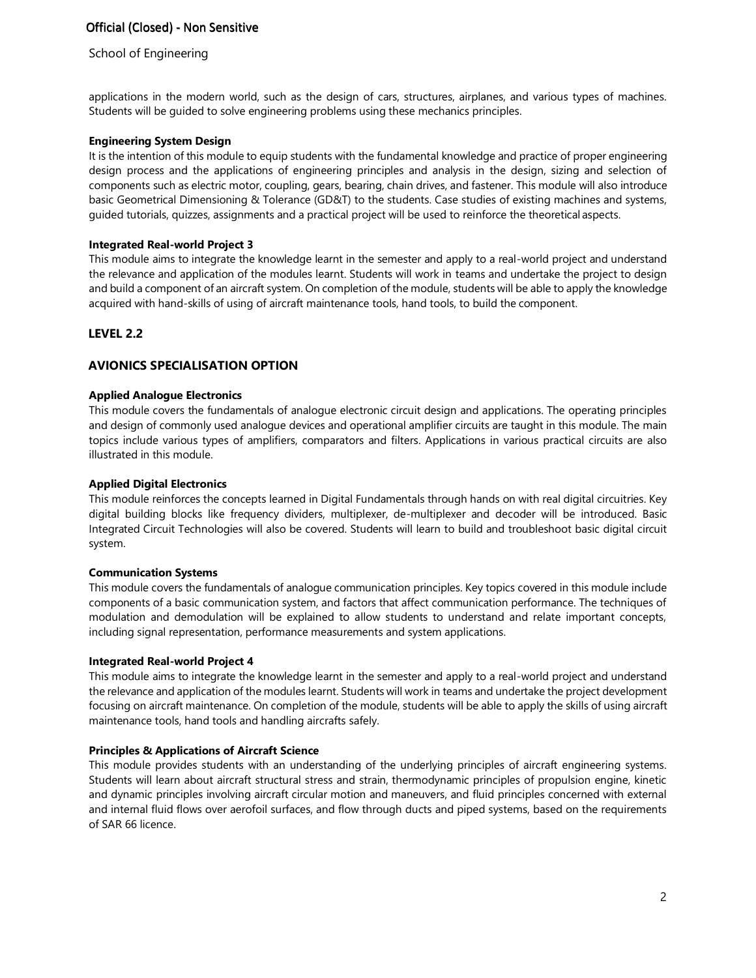# School of Engineering

applications in the modern world, such as the design of cars, structures, airplanes, and various types of machines. Students will be guided to solve engineering problems using these mechanics principles.

### **Engineering System Design**

It is the intention of this module to equip students with the fundamental knowledge and practice of proper engineering design process and the applications of engineering principles and analysis in the design, sizing and selection of components such as electric motor, coupling, gears, bearing, chain drives, and fastener. This module will also introduce basic Geometrical Dimensioning & Tolerance (GD&T) to the students. Case studies of existing machines and systems, guided tutorials, quizzes, assignments and a practical project will be used to reinforce the theoretical aspects.

# **Integrated Real-world Project 3**

This module aims to integrate the knowledge learnt in the semester and apply to a real-world project and understand the relevance and application of the modules learnt. Students will work in teams and undertake the project to design and build a component of an aircraft system. On completion of the module, students will be able to apply the knowledge acquired with hand-skills of using of aircraft maintenance tools, hand tools, to build the component.

# **LEVEL 2.2**

# **AVIONICS SPECIALISATION OPTION**

### **Applied Analogue Electronics**

This module covers the fundamentals of analogue electronic circuit design and applications. The operating principles and design of commonly used analogue devices and operational amplifier circuits are taught in this module. The main topics include various types of amplifiers, comparators and filters. Applications in various practical circuits are also illustrated in this module.

### **Applied Digital Electronics**

This module reinforces the concepts learned in Digital Fundamentals through hands on with real digital circuitries. Key digital building blocks like frequency dividers, multiplexer, de-multiplexer and decoder will be introduced. Basic Integrated Circuit Technologies will also be covered. Students will learn to build and troubleshoot basic digital circuit system.

### **Communication Systems**

This module covers the fundamentals of analogue communication principles. Key topics covered in this module include components of a basic communication system, and factors that affect communication performance. The techniques of modulation and demodulation will be explained to allow students to understand and relate important concepts, including signal representation, performance measurements and system applications.

### **Integrated Real-world Project 4**

This module aims to integrate the knowledge learnt in the semester and apply to a real-world project and understand the relevance and application of the modules learnt. Students will work in teams and undertake the project development focusing on aircraft maintenance. On completion of the module, students will be able to apply the skills of using aircraft maintenance tools, hand tools and handling aircrafts safely.

# **Principles & Applications of Aircraft Science**

This module provides students with an understanding of the underlying principles of aircraft engineering systems. Students will learn about aircraft structural stress and strain, thermodynamic principles of propulsion engine, kinetic and dynamic principles involving aircraft circular motion and maneuvers, and fluid principles concerned with external and internal fluid flows over aerofoil surfaces, and flow through ducts and piped systems, based on the requirements of SAR 66 licence.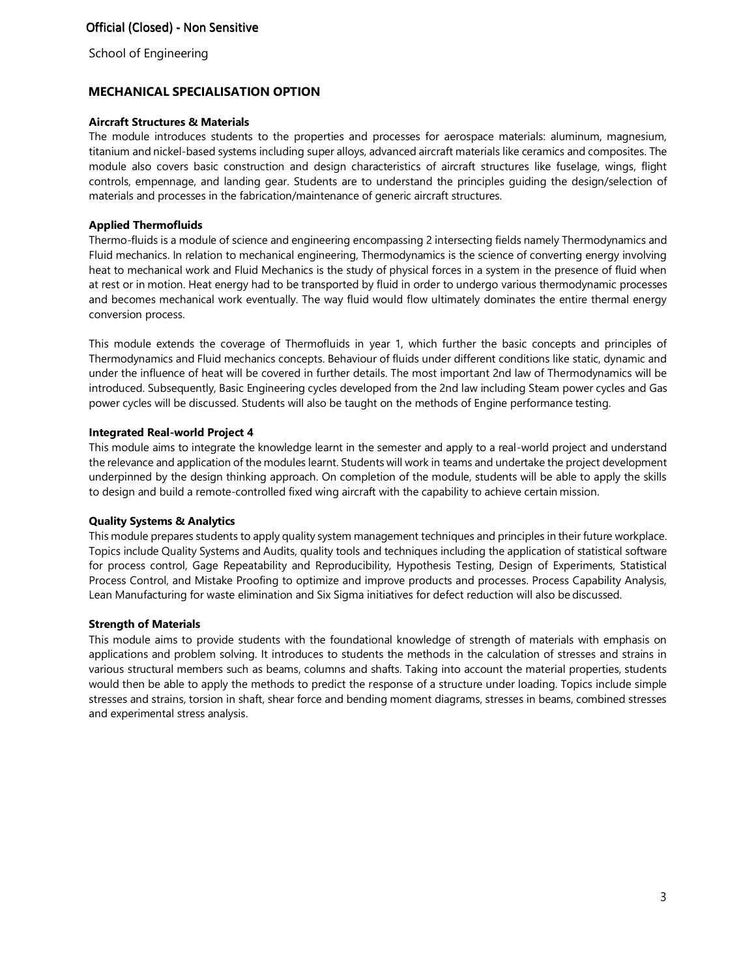School of Engineering

# **MECHANICAL SPECIALISATION OPTION**

### **Aircraft Structures & Materials**

The module introduces students to the properties and processes for aerospace materials: aluminum, magnesium, titanium and nickel-based systems including super alloys, advanced aircraft materials like ceramics and composites. The module also covers basic construction and design characteristics of aircraft structures like fuselage, wings, flight controls, empennage, and landing gear. Students are to understand the principles guiding the design/selection of materials and processes in the fabrication/maintenance of generic aircraft structures.

### **Applied Thermofluids**

Thermo-fluids is a module of science and engineering encompassing 2 intersecting fields namely Thermodynamics and Fluid mechanics. In relation to mechanical engineering, Thermodynamics is the science of converting energy involving heat to mechanical work and Fluid Mechanics is the study of physical forces in a system in the presence of fluid when at rest or in motion. Heat energy had to be transported by fluid in order to undergo various thermodynamic processes and becomes mechanical work eventually. The way fluid would flow ultimately dominates the entire thermal energy conversion process.

This module extends the coverage of Thermofluids in year 1, which further the basic concepts and principles of Thermodynamics and Fluid mechanics concepts. Behaviour of fluids under different conditions like static, dynamic and under the influence of heat will be covered in further details. The most important 2nd law of Thermodynamics will be introduced. Subsequently, Basic Engineering cycles developed from the 2nd law including Steam power cycles and Gas power cycles will be discussed. Students will also be taught on the methods of Engine performance testing.

### **Integrated Real-world Project 4**

This module aims to integrate the knowledge learnt in the semester and apply to a real-world project and understand the relevance and application of the modules learnt. Students will work in teams and undertake the project development underpinned by the design thinking approach. On completion of the module, students will be able to apply the skills to design and build a remote-controlled fixed wing aircraft with the capability to achieve certain mission.

### **Quality Systems & Analytics**

This module prepares students to apply quality system management techniques and principles in their future workplace. Topics include Quality Systems and Audits, quality tools and techniques including the application of statistical software for process control, Gage Repeatability and Reproducibility, Hypothesis Testing, Design of Experiments, Statistical Process Control, and Mistake Proofing to optimize and improve products and processes. Process Capability Analysis, Lean Manufacturing for waste elimination and Six Sigma initiatives for defect reduction will also be discussed.

### **Strength of Materials**

This module aims to provide students with the foundational knowledge of strength of materials with emphasis on applications and problem solving. It introduces to students the methods in the calculation of stresses and strains in various structural members such as beams, columns and shafts. Taking into account the material properties, students would then be able to apply the methods to predict the response of a structure under loading. Topics include simple stresses and strains, torsion in shaft, shear force and bending moment diagrams, stresses in beams, combined stresses and experimental stress analysis.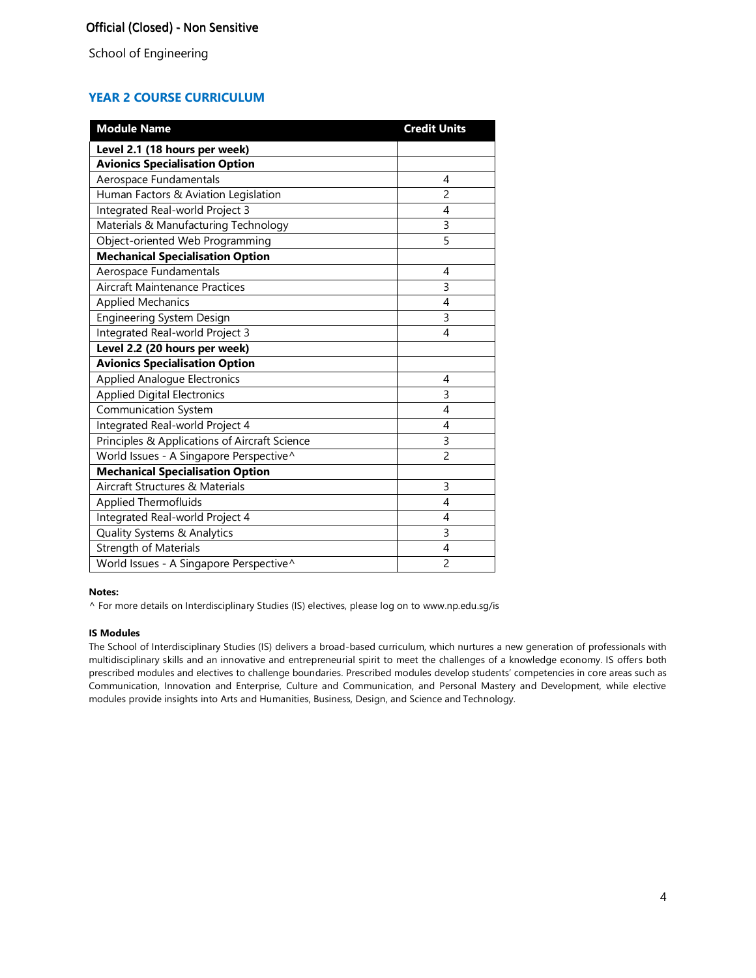# **YEAR 2 COURSE CURRICULUM**

| <b>Module Name</b>                            | <b>Credit Units</b> |
|-----------------------------------------------|---------------------|
| Level 2.1 (18 hours per week)                 |                     |
| <b>Avionics Specialisation Option</b>         |                     |
| Aerospace Fundamentals                        | 4                   |
| Human Factors & Aviation Legislation          | $\overline{c}$      |
| Integrated Real-world Project 3               | 4                   |
| Materials & Manufacturing Technology          | $\overline{3}$      |
| Object-oriented Web Programming               | 5                   |
| <b>Mechanical Specialisation Option</b>       |                     |
| Aerospace Fundamentals                        | 4                   |
| Aircraft Maintenance Practices                | 3                   |
| <b>Applied Mechanics</b>                      | 4                   |
| Engineering System Design                     | 3                   |
| Integrated Real-world Project 3               | 4                   |
| Level 2.2 (20 hours per week)                 |                     |
| <b>Avionics Specialisation Option</b>         |                     |
| <b>Applied Analogue Electronics</b>           | 4                   |
| <b>Applied Digital Electronics</b>            | 3                   |
| Communication System                          | 4                   |
| Integrated Real-world Project 4               | 4                   |
| Principles & Applications of Aircraft Science | 3                   |
| World Issues - A Singapore Perspective^       | $\overline{c}$      |
| <b>Mechanical Specialisation Option</b>       |                     |
| Aircraft Structures & Materials               | 3                   |
| <b>Applied Thermofluids</b>                   | 4                   |
| Integrated Real-world Project 4               | 4                   |
| Quality Systems & Analytics                   | 3                   |
| Strength of Materials                         | 4                   |
| World Issues - A Singapore Perspective^       | 2                   |

#### **Notes:**

^ For more details on Interdisciplinary Studies (IS) electives, please log on to [www.np.edu.sg/is](http://www.np.edu.sg/is/)

### **IS Modules**

The School of Interdisciplinary Studies (IS) delivers a broad-based curriculum, which nurtures a new generation of professionals with multidisciplinary skills and an innovative and entrepreneurial spirit to meet the challenges of a knowledge economy. IS offers both prescribed modules and electives to challenge boundaries. Prescribed modules develop students' competencies in core areas such as Communication, Innovation and Enterprise, Culture and Communication, and Personal Mastery and Development, while elective modules provide insights into Arts and Humanities, Business, Design, and Science and Technology.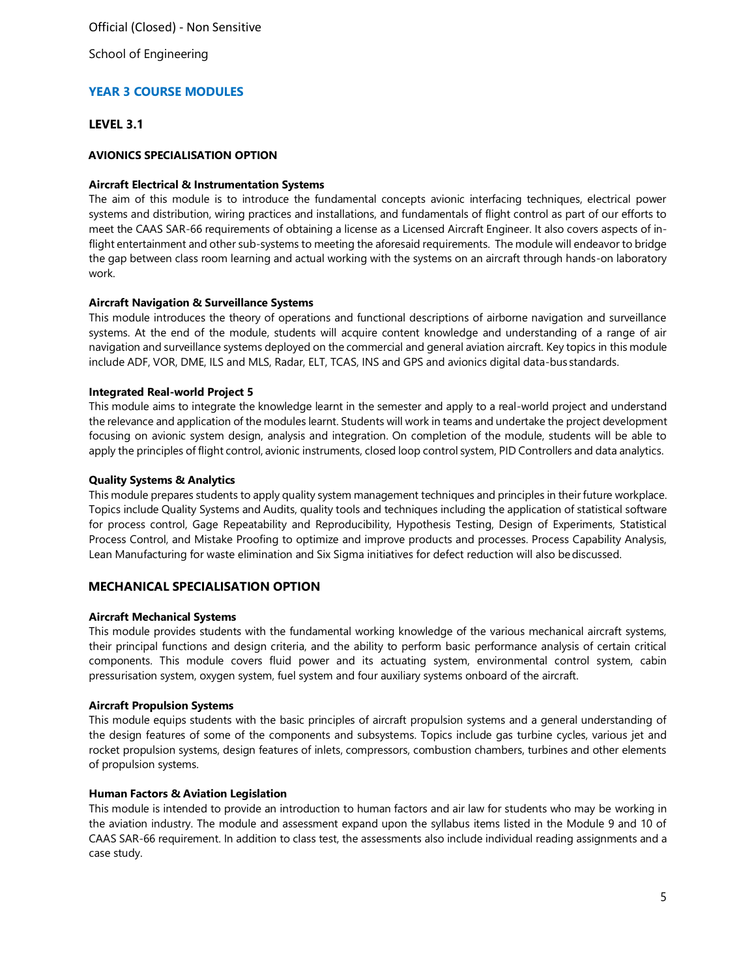School of Engineering

# **YEAR 3 COURSE MODULES**

### **LEVEL 3.1**

### **AVIONICS SPECIALISATION OPTION**

### **Aircraft Electrical & Instrumentation Systems**

The aim of this module is to introduce the fundamental concepts avionic interfacing techniques, electrical power systems and distribution, wiring practices and installations, and fundamentals of flight control as part of our efforts to meet the CAAS SAR-66 requirements of obtaining a license as a Licensed Aircraft Engineer. It also covers aspects of inflight entertainment and other sub-systems to meeting the aforesaid requirements. The module will endeavor to bridge the gap between class room learning and actual working with the systems on an aircraft through hands-on laboratory work.

### **Aircraft Navigation & Surveillance Systems**

This module introduces the theory of operations and functional descriptions of airborne navigation and surveillance systems. At the end of the module, students will acquire content knowledge and understanding of a range of air navigation and surveillance systems deployed on the commercial and general aviation aircraft. Key topics in this module include ADF, VOR, DME, ILS and MLS, Radar, ELT, TCAS, INS and GPS and avionics digital data-bus standards.

### **Integrated Real-world Project 5**

This module aims to integrate the knowledge learnt in the semester and apply to a real-world project and understand the relevance and application of the modules learnt. Students will work in teams and undertake the project development focusing on avionic system design, analysis and integration. On completion of the module, students will be able to apply the principles of flight control, avionic instruments, closed loop control system, PID Controllers and data analytics.

### **Quality Systems & Analytics**

This module prepares students to apply quality system management techniques and principles in their future workplace. Topics include Quality Systems and Audits, quality tools and techniques including the application of statistical software for process control, Gage Repeatability and Reproducibility, Hypothesis Testing, Design of Experiments, Statistical Process Control, and Mistake Proofing to optimize and improve products and processes. Process Capability Analysis, Lean Manufacturing for waste elimination and Six Sigma initiatives for defect reduction will also bediscussed.

# **MECHANICAL SPECIALISATION OPTION**

### **Aircraft Mechanical Systems**

This module provides students with the fundamental working knowledge of the various mechanical aircraft systems, their principal functions and design criteria, and the ability to perform basic performance analysis of certain critical components. This module covers fluid power and its actuating system, environmental control system, cabin pressurisation system, oxygen system, fuel system and four auxiliary systems onboard of the aircraft.

### **Aircraft Propulsion Systems**

This module equips students with the basic principles of aircraft propulsion systems and a general understanding of the design features of some of the components and subsystems. Topics include gas turbine cycles, various jet and rocket propulsion systems, design features of inlets, compressors, combustion chambers, turbines and other elements of propulsion systems.

### **Human Factors & Aviation Legislation**

This module is intended to provide an introduction to human factors and air law for students who may be working in the aviation industry. The module and assessment expand upon the syllabus items listed in the Module 9 and 10 of CAAS SAR-66 requirement. In addition to class test, the assessments also include individual reading assignments and a case study.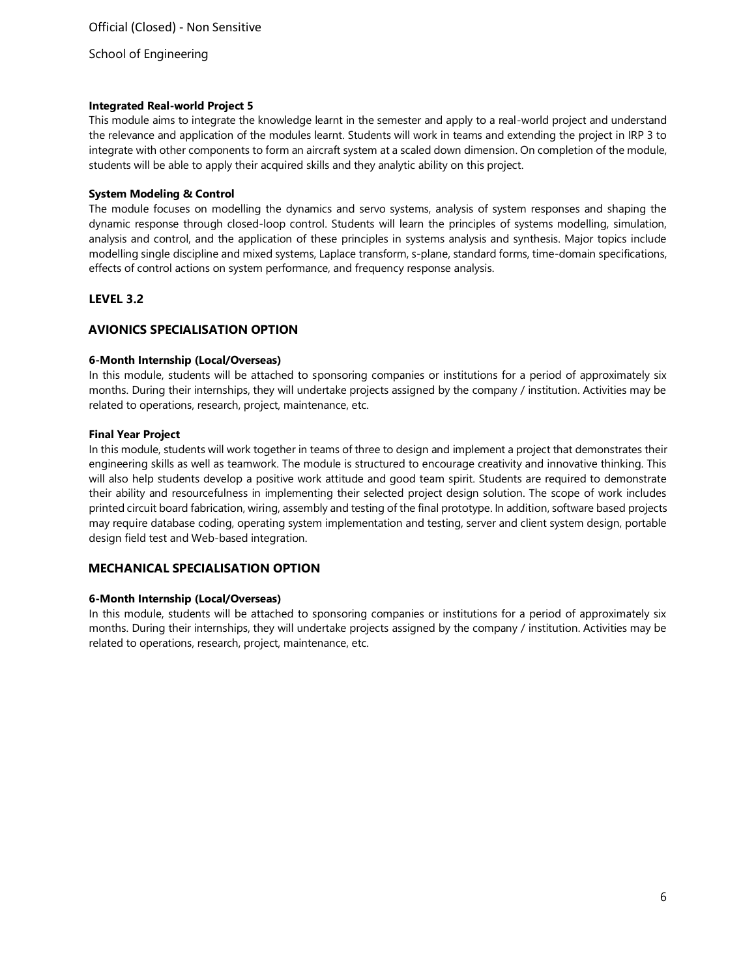### **Integrated Real-world Project 5**

This module aims to integrate the knowledge learnt in the semester and apply to a real-world project and understand the relevance and application of the modules learnt. Students will work in teams and extending the project in IRP 3 to integrate with other components to form an aircraft system at a scaled down dimension. On completion of the module, students will be able to apply their acquired skills and they analytic ability on this project.

# **System Modeling & Control**

The module focuses on modelling the dynamics and servo systems, analysis of system responses and shaping the dynamic response through closed-loop control. Students will learn the principles of systems modelling, simulation, analysis and control, and the application of these principles in systems analysis and synthesis. Major topics include modelling single discipline and mixed systems, Laplace transform, s-plane, standard forms, time-domain specifications, effects of control actions on system performance, and frequency response analysis.

# **LEVEL 3.2**

# **AVIONICS SPECIALISATION OPTION**

### **6-Month Internship (Local/Overseas)**

In this module, students will be attached to sponsoring companies or institutions for a period of approximately six months. During their internships, they will undertake projects assigned by the company / institution. Activities may be related to operations, research, project, maintenance, etc.

### **Final Year Project**

In this module, students will work together in teams of three to design and implement a project that demonstrates their engineering skills as well as teamwork. The module is structured to encourage creativity and innovative thinking. This will also help students develop a positive work attitude and good team spirit. Students are required to demonstrate their ability and resourcefulness in implementing their selected project design solution. The scope of work includes printed circuit board fabrication, wiring, assembly and testing of the final prototype. In addition, software based projects may require database coding, operating system implementation and testing, server and client system design, portable design field test and Web-based integration.

# **MECHANICAL SPECIALISATION OPTION**

# **6-Month Internship (Local/Overseas)**

In this module, students will be attached to sponsoring companies or institutions for a period of approximately six months. During their internships, they will undertake projects assigned by the company / institution. Activities may be related to operations, research, project, maintenance, etc.